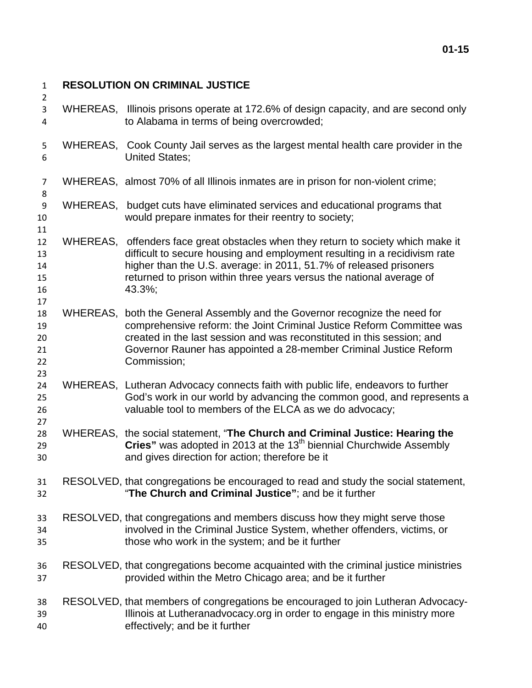## **RESOLUTION ON CRIMINAL JUSTICE**

- WHEREAS, Illinois prisons operate at 172.6% of design capacity, and are second only to Alabama in terms of being overcrowded;
- WHEREAS, Cook County Jail serves as the largest mental health care provider in the United States;
- WHEREAS, almost 70% of all Illinois inmates are in prison for non-violent crime;
- WHEREAS, budget cuts have eliminated services and educational programs that would prepare inmates for their reentry to society;
- WHEREAS, offenders face great obstacles when they return to society which make it difficult to secure housing and employment resulting in a recidivism rate higher than the U.S. average: in 2011, 51.7% of released prisoners returned to prison within three years versus the national average of 43.3%;
- WHEREAS, both the General Assembly and the Governor recognize the need for comprehensive reform: the Joint Criminal Justice Reform Committee was created in the last session and was reconstituted in this session; and Governor Rauner has appointed a 28-member Criminal Justice Reform Commission;
- WHEREAS, Lutheran Advocacy connects faith with public life, endeavors to further God's work in our world by advancing the common good, and represents a valuable tool to members of the ELCA as we do advocacy;
- WHEREAS, the social statement, "**The Church and Criminal Justice: Hearing the**  29 **Cries**" was adopted in 2013 at the 13<sup>th</sup> biennial Churchwide Assembly and gives direction for action; therefore be it
- RESOLVED, that congregations be encouraged to read and study the social statement, "**The Church and Criminal Justice"**; and be it further
- RESOLVED, that congregations and members discuss how they might serve those involved in the Criminal Justice System, whether offenders, victims, or those who work in the system; and be it further
- RESOLVED, that congregations become acquainted with the criminal justice ministries provided within the Metro Chicago area; and be it further
- RESOLVED, that members of congregations be encouraged to join Lutheran Advocacy- Illinois at Lutheranadvocacy.org in order to engage in this ministry more effectively; and be it further